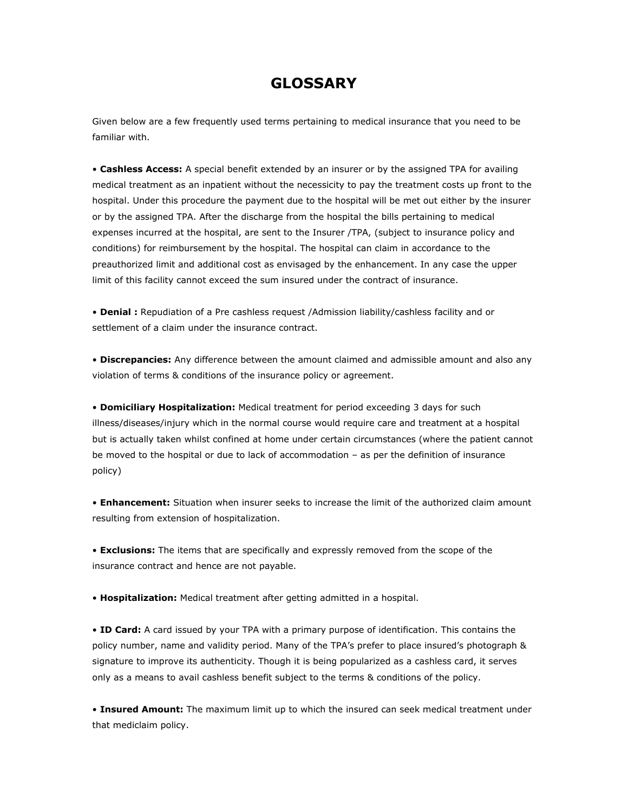## **GLOSSARY**

Given below are a few frequently used terms pertaining to medical insurance that you need to be familiar with.

• **Cashless Access:** A special benefit extended by an insurer or by the assigned TPA for availing medical treatment as an inpatient without the necessicity to pay the treatment costs up front to the hospital. Under this procedure the payment due to the hospital will be met out either by the insurer or by the assigned TPA. After the discharge from the hospital the bills pertaining to medical expenses incurred at the hospital, are sent to the Insurer /TPA, (subject to insurance policy and conditions) for reimbursement by the hospital. The hospital can claim in accordance to the preauthorized limit and additional cost as envisaged by the enhancement. In any case the upper limit of this facility cannot exceed the sum insured under the contract of insurance.

• **Denial :** Repudiation of a Pre cashless request /Admission liability/cashless facility and or settlement of a claim under the insurance contract.

• **Discrepancies:** Any difference between the amount claimed and admissible amount and also any violation of terms & conditions of the insurance policy or agreement.

• **Domiciliary Hospitalization:** Medical treatment for period exceeding 3 days for such illness/diseases/injury which in the normal course would require care and treatment at a hospital but is actually taken whilst confined at home under certain circumstances (where the patient cannot be moved to the hospital or due to lack of accommodation – as per the definition of insurance policy)

• **Enhancement:** Situation when insurer seeks to increase the limit of the authorized claim amount resulting from extension of hospitalization.

• **Exclusions:** The items that are specifically and expressly removed from the scope of the insurance contract and hence are not payable.

• **Hospitalization:** Medical treatment after getting admitted in a hospital.

• **ID Card:** A card issued by your TPA with a primary purpose of identification. This contains the policy number, name and validity period. Many of the TPA's prefer to place insured's photograph & signature to improve its authenticity. Though it is being popularized as a cashless card, it serves only as a means to avail cashless benefit subject to the terms & conditions of the policy.

• **Insured Amount:** The maximum limit up to which the insured can seek medical treatment under that mediclaim policy.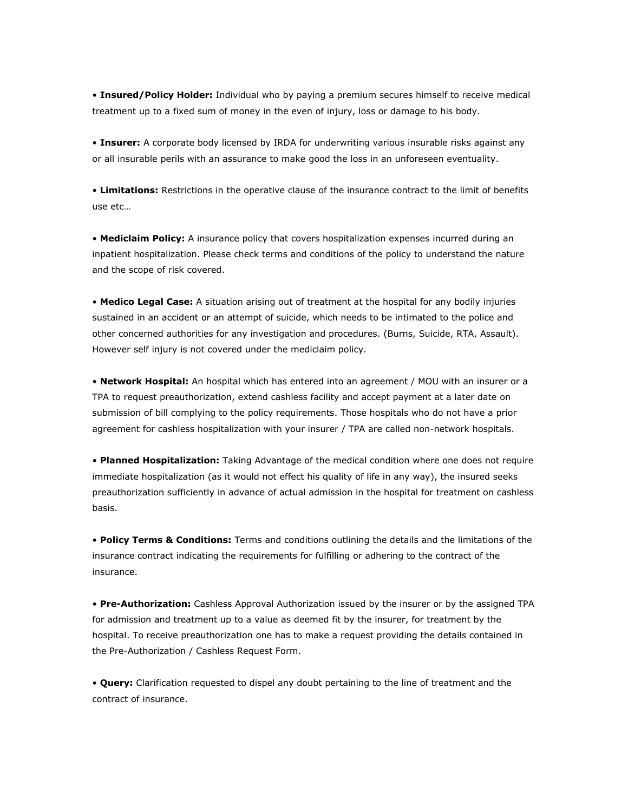• **Insured/Policy Holder:** Individual who by paying a premium secures himself to receive medical treatment up to a fixed sum of money in the even of injury, loss or damage to his body.

• **Insurer:** A corporate body licensed by IRDA for underwriting various insurable risks against any or all insurable perils with an assurance to make good the loss in an unforeseen eventuality.

• **Limitations:** Restrictions in the operative clause of the insurance contract to the limit of benefits use etc…

• **Mediclaim Policy:** A insurance policy that covers hospitalization expenses incurred during an inpatient hospitalization. Please check terms and conditions of the policy to understand the nature and the scope of risk covered.

• **Medico Legal Case:** A situation arising out of treatment at the hospital for any bodily injuries sustained in an accident or an attempt of suicide, which needs to be intimated to the police and other concerned authorities for any investigation and procedures. (Burns, Suicide, RTA, Assault). However self injury is not covered under the mediclaim policy.

• **Network Hospital:** An hospital which has entered into an agreement / MOU with an insurer or a TPA to request preauthorization, extend cashless facility and accept payment at a later date on submission of bill complying to the policy requirements. Those hospitals who do not have a prior agreement for cashless hospitalization with your insurer / TPA are called non-network hospitals.

• **Planned Hospitalization:** Taking Advantage of the medical condition where one does not require immediate hospitalization (as it would not effect his quality of life in any way), the insured seeks preauthorization sufficiently in advance of actual admission in the hospital for treatment on cashless basis.

• **Policy Terms & Conditions:** Terms and conditions outlining the details and the limitations of the insurance contract indicating the requirements for fulfilling or adhering to the contract of the insurance.

• **Pre-Authorization:** Cashless Approval Authorization issued by the insurer or by the assigned TPA for admission and treatment up to a value as deemed fit by the insurer, for treatment by the hospital. To receive preauthorization one has to make a request providing the details contained in the Pre-Authorization / Cashless Request Form.

• **Query:** Clarification requested to dispel any doubt pertaining to the line of treatment and the contract of insurance.